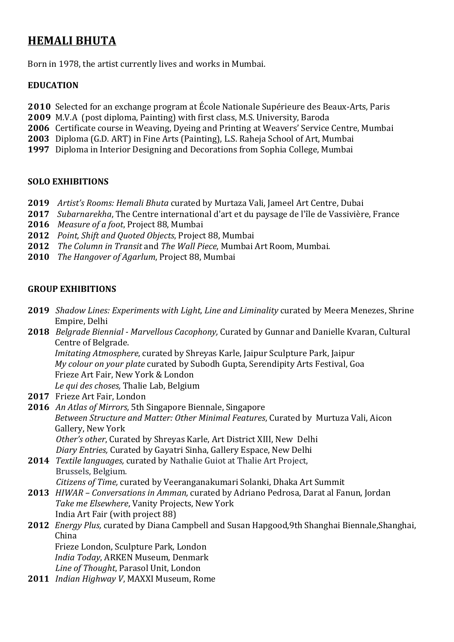## **HEMALI BHUTA**

Born in 1978, the artist currently lives and works in Mumbai.

#### **EDUCATION**

- **2010** Selected for an exchange program at École Nationale Supérieure des Beaux-Arts, Paris
- **2009** M.V.A (post diploma, Painting) with first class, M.S. University, Baroda
- **2006** Certificate course in Weaving, Dyeing and Printing at Weavers' Service Centre, Mumbai
- **2003** Diploma (G.D. ART) in Fine Arts (Painting), L.S. Raheja School of Art, Mumbai
- **1997** Diploma in Interior Designing and Decorations from Sophia College, Mumbai

#### **SOLO EXHIBITIONS**

- **2019** Artist's Rooms: Hemali Bhuta curated by Murtaza Vali, Jameel Art Centre, Dubai
- **2017** *Subarnarekha*, The Centre international d'art et du paysage de l'île de Vassivière, France
- **2016** *Measure of a foot*, Project 88, Mumbai
- **2012** *Point, Shift and Quoted Objects, Project 88, Mumbai*
- **2012** *The Column in Transit* and *The Wall Piece*, Mumbai Art Room, Mumbai.
- **2010** *The Hangover of Agarlum*, Project 88, Mumbai

#### **GROUP EXHIBITIONS**

- **2019** Shadow Lines: Experiments with Light, Line and Liminality curated by Meera Menezes, Shrine Empire, Delhi
- **2018**  *Belgrade Biennial - Marvellous Cacophony,* Curated by Gunnar and Danielle Kvaran, Cultural Centre of Belgrade. *Imitating Atmosphere, curated by Shreyas Karle, Jaipur Sculpture Park, Jaipur My colour on your plate* curated by Subodh Gupta, Serendipity Arts Festival, Goa Frieze Art Fair, New York & London *Le qui des choses,* Thalie Lab, Belgium
- 2017 Frieze Art Fair, London
- **2016** An Atlas of Mirrors, 5th Singapore Biennale, Singapore *Between Structure and Matter: Other Minimal Features*, Curated by Murtuza Vali, Aicon Gallery, New York Other's other, Curated by Shreyas Karle, Art District XIII, New Delhi Diary Entries, Curated by Gayatri Sinha, Gallery Espace, New Delhi
- **2014** *Textile languages,* curated by Nathalie Guiot at Thalie Art Project, Brussels, Belgium.
- *Citizens of Time,* curated by Veeranganakumari Solanki, Dhaka Art Summit **2013** *HIWAR* – *Conversations in Amman,* curated by Adriano Pedrosa, Darat al Fanun, Jordan Take me Elsewhere, Vanity Projects, New York India Art Fair (with project 88)

# **2012** *Energy Plus,* curated by Diana Campbell and Susan Hapgood,9th Shanghai Biennale,Shanghai, China

Frieze London, Sculpture Park, London *India Today*, ARKEN Museum, Denmark Line of Thought, Parasol Unit, London

**2011** *Indian Highway V, MAXXI Museum, Rome*